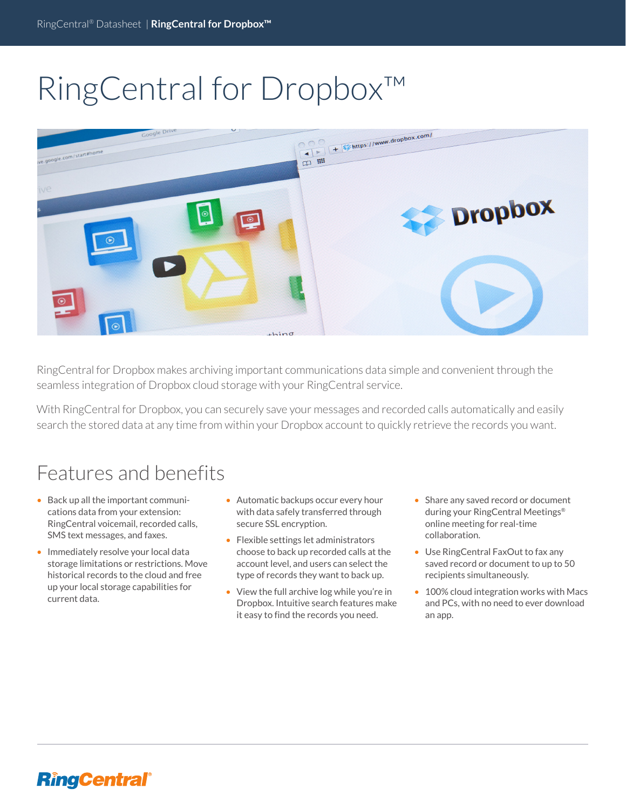# RingCentral for Dropbox™



RingCentral for Dropbox makes archiving important communications data simple and convenient through the seamless integration of Dropbox cloud storage with your RingCentral service.

With RingCentral for Dropbox, you can securely save your messages and recorded calls automatically and easily search the stored data at any time from within your Dropbox account to quickly retrieve the records you want.

## Features and benefits

- Back up all the important communications data from your extension: RingCentral voicemail, recorded calls, SMS text messages, and faxes.
- Immediately resolve your local data storage limitations or restrictions. Move historical records to the cloud and free up your local storage capabilities for current data.
- Automatic backups occur every hour with data safely transferred through secure SSL encryption.
- Flexible settings let administrators choose to back up recorded calls at the account level, and users can select the type of records they want to back up.
- View the full archive log while you're in Dropbox. Intuitive search features make it easy to find the records you need.
- Share any saved record or document during your RingCentral Meetings® online meeting for real-time collaboration.
- Use RingCentral FaxOut to fax any saved record or document to up to 50 recipients simultaneously.
- 100% cloud integration works with Macs and PCs, with no need to ever download an app.

#### **RingCentral®**